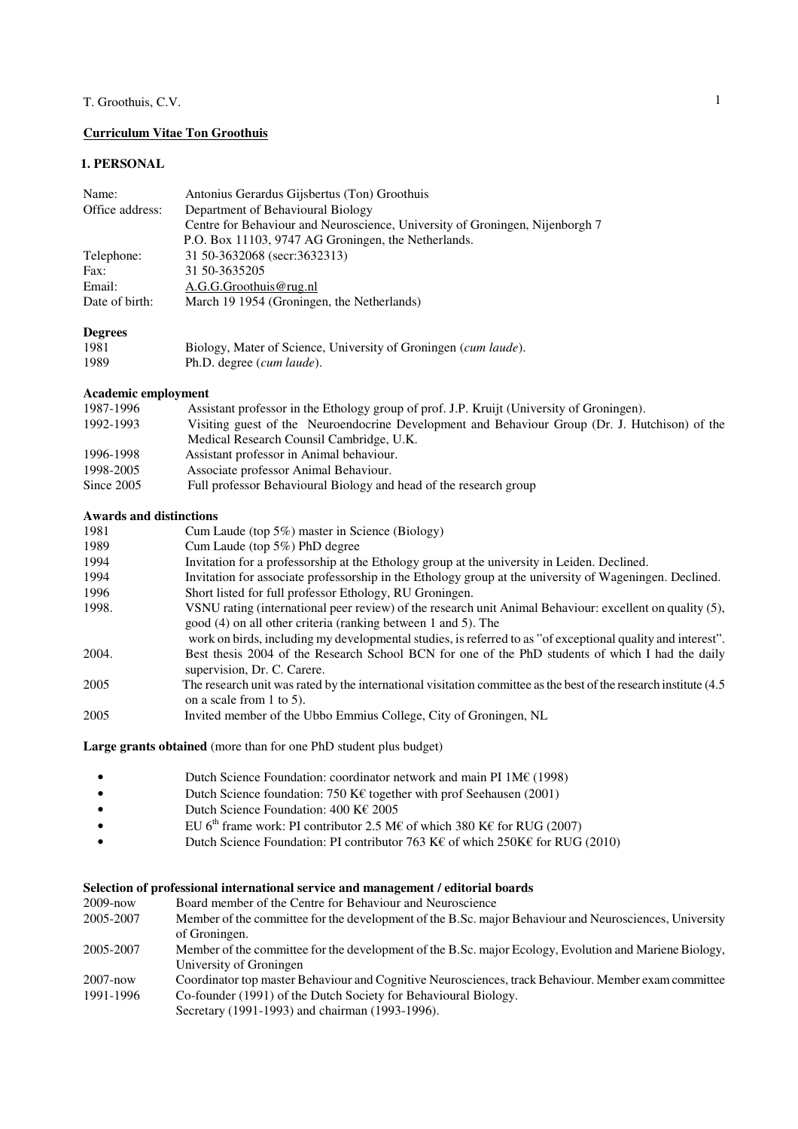# **Curriculum Vitae Ton Groothuis**

## **1. PERSONAL**

| Name:           | Antonius Gerardus Gijsbertus (Ton) Groothuis                                 |
|-----------------|------------------------------------------------------------------------------|
| Office address: | Department of Behavioural Biology                                            |
|                 | Centre for Behaviour and Neuroscience, University of Groningen, Nijenborgh 7 |
|                 | P.O. Box 11103, 9747 AG Groningen, the Netherlands.                          |
| Telephone:      | 31 50-3632068 (secr:3632313)                                                 |
| Fax:            | 31 50-3635205                                                                |
| Email:          | A.G.G.Groothuis@rug.nl                                                       |
| Date of birth:  | March 19 1954 (Groningen, the Netherlands)                                   |
|                 |                                                                              |
| <b>Degrees</b>  |                                                                              |

| 1981 | Biology, Mater of Science, University of Groningen (cum laude). |
|------|-----------------------------------------------------------------|
| 1989 | Ph.D. degree ( <i>cum laude</i> ).                              |

#### **Academic employment**

| 1987-1996  | Assistant professor in the Ethology group of prof. J.P. Kruijt (University of Groningen).      |
|------------|------------------------------------------------------------------------------------------------|
| 1992-1993  | Visiting guest of the Neuroendocrine Development and Behaviour Group (Dr. J. Hutchison) of the |
|            | Medical Research Counsil Cambridge, U.K.                                                       |
| 1996-1998  | Assistant professor in Animal behaviour.                                                       |
| 1998-2005  | Associate professor Animal Behaviour.                                                          |
| Since 2005 | Full professor Behavioural Biology and head of the research group                              |

#### **Awards and distinctions**

| 1981  | Cum Laude (top 5%) master in Science (Biology)                                                                                                                            |
|-------|---------------------------------------------------------------------------------------------------------------------------------------------------------------------------|
| 1989  | Cum Laude (top $5\%$ ) PhD degree                                                                                                                                         |
| 1994  | Invitation for a professorship at the Ethology group at the university in Leiden. Declined.                                                                               |
| 1994  | Invitation for associate professorship in the Ethology group at the university of Wageningen. Declined.                                                                   |
| 1996  | Short listed for full professor Ethology, RU Groningen.                                                                                                                   |
| 1998. | VSNU rating (international peer review) of the research unit Animal Behaviour: excellent on quality (5),<br>good (4) on all other criteria (ranking between 1 and 5). The |
|       | work on birds, including my developmental studies, is referred to as "of exceptional quality and interest".                                                               |
| 2004. | Best thesis 2004 of the Research School BCN for one of the PhD students of which I had the daily<br>supervision, Dr. C. Carere.                                           |
| 2005  | The research unit was rated by the international visitation committee as the best of the research institute (4.5)<br>on a scale from $1$ to $5$ ).                        |
| 2005  | Invited member of the Ubbo Emmius College, City of Groningen, NL                                                                                                          |
|       |                                                                                                                                                                           |

**Large grants obtained** (more than for one PhD student plus budget)

- Dutch Science Foundation: coordinator network and main PI 1M€ (1998)
- Dutch Science foundation: 750 K€ together with prof Seehausen (2001)
- Dutch Science Foundation: 400 K€ 2005
- EU 6<sup>th</sup> frame work: PI contributor 2.5 M€ of which 380 K€ for RUG (2007)
- Dutch Science Foundation: PI contributor 763 K€ of which 250K€ for RUG (2010)

## **Selection of professional international service and management / editorial boards**

| $2009 - now$ | Board member of the Centre for Behaviour and Neuroscience                                              |
|--------------|--------------------------------------------------------------------------------------------------------|
| 2005-2007    | Member of the committee for the development of the B.Sc. major Behaviour and Neurosciences, University |
|              | of Groningen.                                                                                          |
| 2005-2007    | Member of the committee for the development of the B.Sc. major Ecology, Evolution and Mariene Biology, |
|              | University of Groningen                                                                                |
| $2007 - now$ | Coordinator top master Behaviour and Cognitive Neurosciences, track Behaviour. Member exam committee   |
| 1991-1996    | Co-founder (1991) of the Dutch Society for Behavioural Biology.                                        |
|              | Secretary (1991-1993) and chairman (1993-1996).                                                        |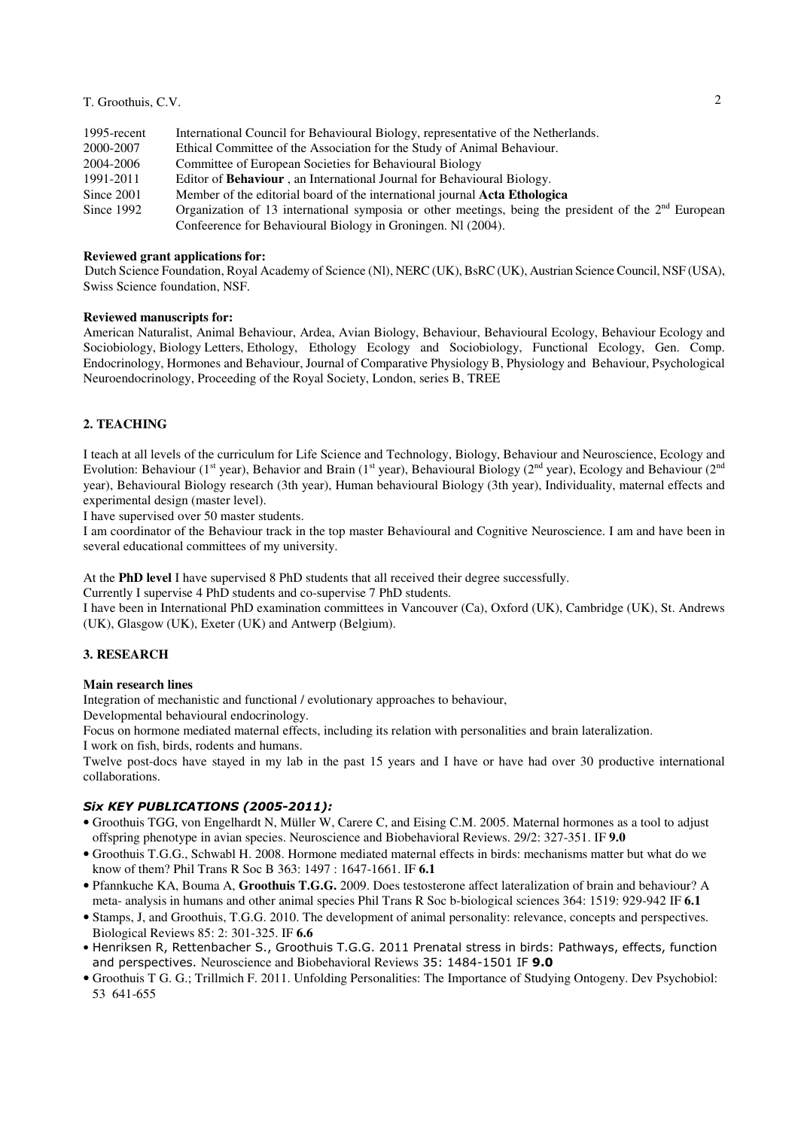| 1995-recent | International Council for Behavioural Biology, representative of the Netherlands.                      |
|-------------|--------------------------------------------------------------------------------------------------------|
| 2000-2007   | Ethical Committee of the Association for the Study of Animal Behaviour.                                |
| 2004-2006   | Committee of European Societies for Behavioural Biology                                                |
| 1991-2011   | Editor of Behaviour, an International Journal for Behavioural Biology.                                 |
| Since 2001  | Member of the editorial board of the international journal Acta Ethologica                             |
| Since 1992  | Organization of 13 international symposia or other meetings, being the president of the $2nd$ European |
|             | Conference for Behavioural Biology in Groningen. NI (2004).                                            |

#### **Reviewed grant applications for:**

 Dutch Science Foundation, Royal Academy of Science (Nl), NERC (UK), BsRC (UK), Austrian Science Council, NSF (USA), Swiss Science foundation, NSF.

## **Reviewed manuscripts for:**

American Naturalist, Animal Behaviour, Ardea, Avian Biology, Behaviour, Behavioural Ecology, Behaviour Ecology and Sociobiology, Biology Letters, Ethology, Ethology Ecology and Sociobiology, Functional Ecology, Gen. Comp. Endocrinology, Hormones and Behaviour, Journal of Comparative Physiology B, Physiology and Behaviour, Psychological Neuroendocrinology, Proceeding of the Royal Society, London, series B, TREE

### **2. TEACHING**

I teach at all levels of the curriculum for Life Science and Technology, Biology, Behaviour and Neuroscience, Ecology and Evolution: Behaviour (1<sup>st</sup> year), Behavior and Brain (1<sup>st</sup> year), Behavioural Biology (2<sup>nd</sup> year), Ecology and Behaviour (2<sup>nd</sup>) year), Behavioural Biology research (3th year), Human behavioural Biology (3th year), Individuality, maternal effects and experimental design (master level).

I have supervised over 50 master students.

I am coordinator of the Behaviour track in the top master Behavioural and Cognitive Neuroscience. I am and have been in several educational committees of my university.

At the **PhD level** I have supervised 8 PhD students that all received their degree successfully.

Currently I supervise 4 PhD students and co-supervise 7 PhD students.

I have been in International PhD examination committees in Vancouver (Ca), Oxford (UK), Cambridge (UK), St. Andrews (UK), Glasgow (UK), Exeter (UK) and Antwerp (Belgium).

### **3. RESEARCH**

#### **Main research lines**

Integration of mechanistic and functional / evolutionary approaches to behaviour,

Developmental behavioural endocrinology.

Focus on hormone mediated maternal effects, including its relation with personalities and brain lateralization.

I work on fish, birds, rodents and humans.

Twelve post-docs have stayed in my lab in the past 15 years and I have or have had over 30 productive international collaborations.

#### Six KEY PUBLICATIONS (2005-2011):

- Groothuis TGG, von Engelhardt N, Müller W, Carere C, and Eising C.M. 2005. Maternal hormones as a tool to adjust offspring phenotype in avian species. Neuroscience and Biobehavioral Reviews. 29/2: 327-351. IF **9.0**
- Groothuis T.G.G., Schwabl H. 2008. Hormone mediated maternal effects in birds: mechanisms matter but what do we know of them? Phil Trans R Soc B 363: 1497 : 1647-1661. IF **6.1**
- Pfannkuche KA, Bouma A, **Groothuis T.G.G.** 2009. Does testosterone affect lateralization of brain and behaviour? A meta- analysis in humans and other animal species Phil Trans R Soc b-biological sciences 364: 1519: 929-942 IF **6.1**
- Stamps, J, and Groothuis, T.G.G. 2010. The development of animal personality: relevance, concepts and perspectives. Biological Reviews 85: 2: 301-325. IF **6.6**
- Henriksen R, Rettenbacher S., Groothuis T.G.G. 2011 Prenatal stress in birds: Pathways, effects, function and perspectives. Neuroscience and Biobehavioral Reviews 35: 1484-1501 IF 9.0
- Groothuis T G. G.; Trillmich F. 2011. Unfolding Personalities: The Importance of Studying Ontogeny. Dev Psychobiol: 53 641-655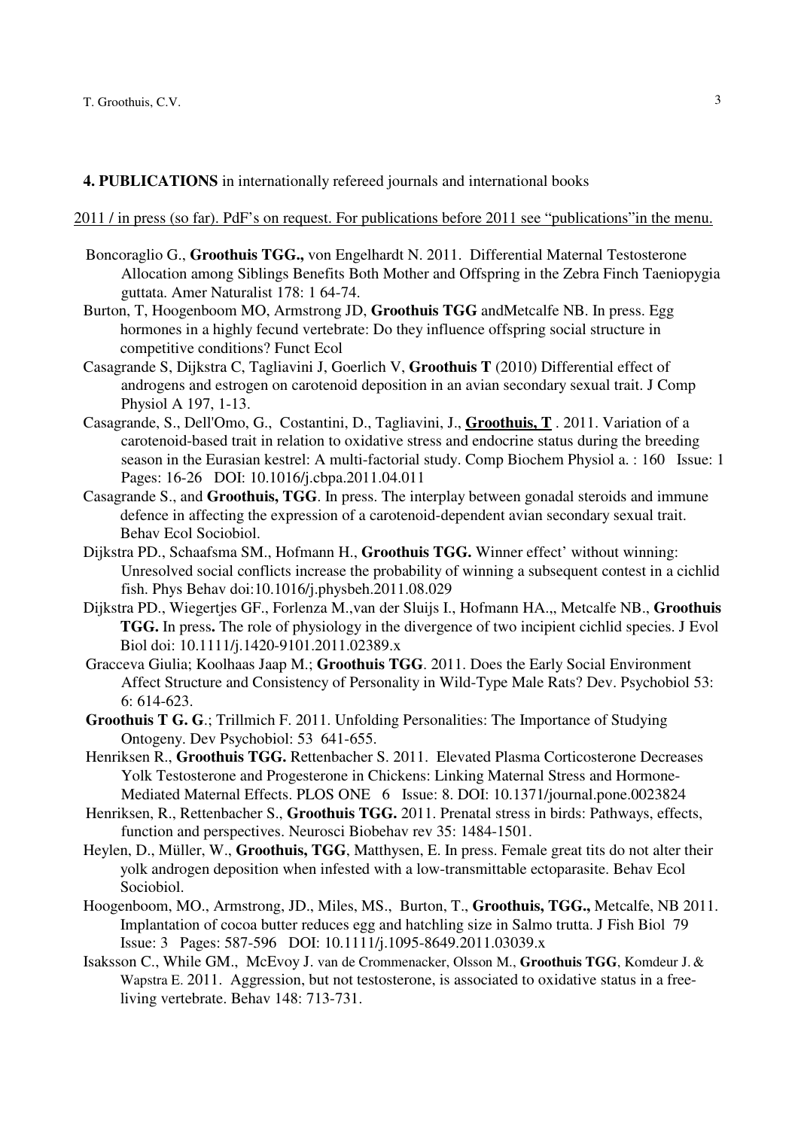**4. PUBLICATIONS** in internationally refereed journals and international books

### 2011 / in press (so far). PdF's on request. For publications before 2011 see "publications"in the menu.

- Boncoraglio G., **Groothuis TGG.,** von Engelhardt N. 2011. Differential Maternal Testosterone Allocation among Siblings Benefits Both Mother and Offspring in the Zebra Finch Taeniopygia guttata. Amer Naturalist 178: 1 64-74.
- Burton, T, Hoogenboom MO, Armstrong JD, **Groothuis TGG** andMetcalfe NB. In press. Egg hormones in a highly fecund vertebrate: Do they influence offspring social structure in competitive conditions? Funct Ecol
- Casagrande S, Dijkstra C, Tagliavini J, Goerlich V, **Groothuis T** (2010) Differential effect of androgens and estrogen on carotenoid deposition in an avian secondary sexual trait. J Comp Physiol A 197, 1-13.
- Casagrande, S., Dell'Omo, G., Costantini, D., Tagliavini, J., **Groothuis, T** . 2011. Variation of a carotenoid-based trait in relation to oxidative stress and endocrine status during the breeding season in the Eurasian kestrel: A multi-factorial study. Comp Biochem Physiol a. : 160 Issue: 1 Pages: 16-26 DOI: 10.1016/j.cbpa.2011.04.011
- Casagrande S., and **Groothuis, TGG**. In press. The interplay between gonadal steroids and immune defence in affecting the expression of a carotenoid-dependent avian secondary sexual trait. Behav Ecol Sociobiol.
- Dijkstra PD., Schaafsma SM., Hofmann H., **Groothuis TGG.** Winner effect' without winning: Unresolved social conflicts increase the probability of winning a subsequent contest in a cichlid fish. Phys Behav doi:10.1016/j.physbeh.2011.08.029
- Dijkstra PD., Wiegertjes GF., Forlenza M.,van der Sluijs I., Hofmann HA.,, Metcalfe NB., **Groothuis TGG.** In press**.** The role of physiology in the divergence of two incipient cichlid species. J Evol Biol doi: 10.1111/j.1420-9101.2011.02389.x
- Gracceva Giulia; Koolhaas Jaap M.; **Groothuis TGG**. 2011. Does the Early Social Environment Affect Structure and Consistency of Personality in Wild-Type Male Rats? Dev. Psychobiol 53: 6: 614-623.
- **Groothuis T G. G**.; Trillmich F. 2011. Unfolding Personalities: The Importance of Studying Ontogeny. Dev Psychobiol: 53 641-655.
- Henriksen R., **Groothuis TGG.** Rettenbacher S. 2011. Elevated Plasma Corticosterone Decreases Yolk Testosterone and Progesterone in Chickens: Linking Maternal Stress and Hormone-Mediated Maternal Effects. PLOS ONE 6 Issue: 8. DOI: 10.1371/journal.pone.0023824
- Henriksen, R., Rettenbacher S., **Groothuis TGG.** 2011. Prenatal stress in birds: Pathways, effects, function and perspectives. Neurosci Biobehav rev 35: 1484-1501.
- Heylen, D., Müller, W., **Groothuis, TGG**, Matthysen, E. In press. Female great tits do not alter their yolk androgen deposition when infested with a low-transmittable ectoparasite. Behav Ecol Sociobiol.
- Hoogenboom, MO., Armstrong, JD., Miles, MS., Burton, T., **Groothuis, TGG.,** Metcalfe, NB 2011. Implantation of cocoa butter reduces egg and hatchling size in Salmo trutta. J Fish Biol 79 Issue: 3 Pages: 587-596 DOI: 10.1111/j.1095-8649.2011.03039.x
- Isaksson C., While GM., McEvoy J. van de Crommenacker, Olsson M., **Groothuis TGG**, Komdeur J. & Wapstra E. 2011. Aggression, but not testosterone, is associated to oxidative status in a freeliving vertebrate. Behav 148: 713-731.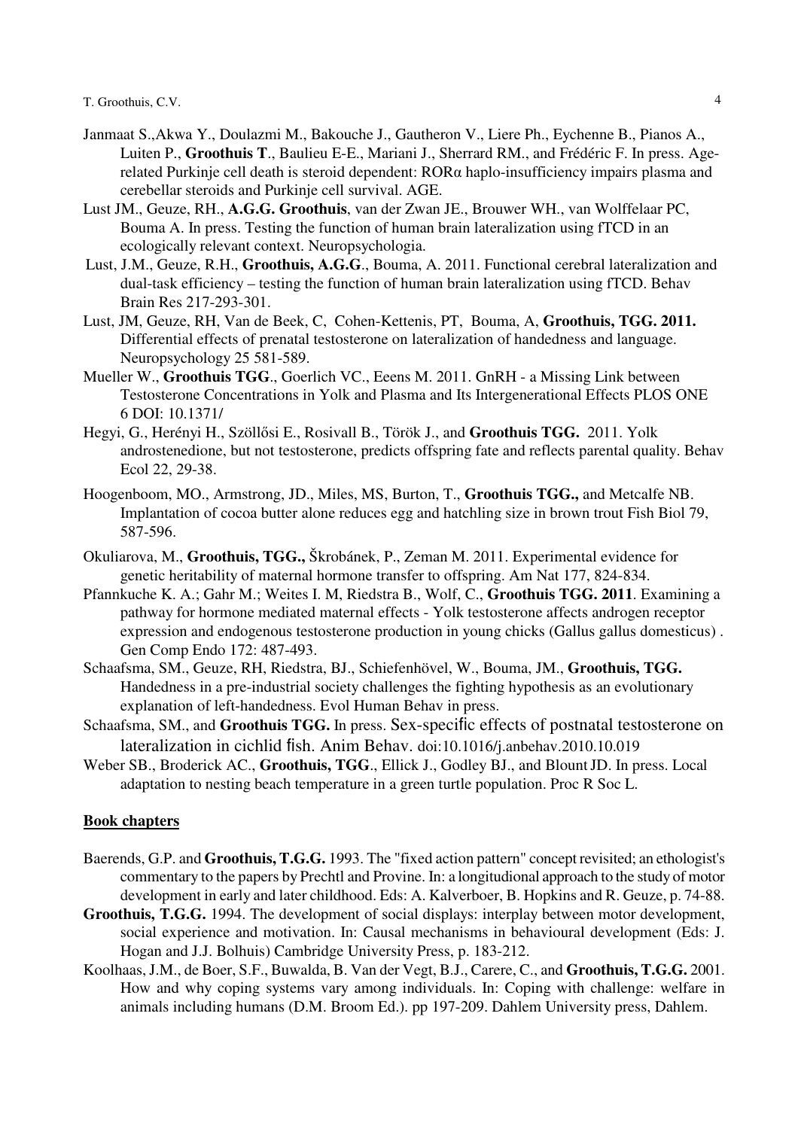- Janmaat S.,Akwa Y., Doulazmi M., Bakouche J., Gautheron V., Liere Ph., Eychenne B., Pianos A., Luiten P., **Groothuis T**., Baulieu E-E., Mariani J., Sherrard RM., and Frédéric F. In press. Agerelated Purkinje cell death is steroid dependent: RORα haplo-insufficiency impairs plasma and cerebellar steroids and Purkinje cell survival. AGE.
- Lust JM., Geuze, RH., **A.G.G. Groothuis**, van der Zwan JE., Brouwer WH., van Wolffelaar PC, Bouma A. In press. Testing the function of human brain lateralization using fTCD in an ecologically relevant context. Neuropsychologia.
- Lust, J.M., Geuze, R.H., **Groothuis, A.G.G**., Bouma, A. 2011. Functional cerebral lateralization and dual-task efficiency – testing the function of human brain lateralization using fTCD. Behav Brain Res 217-293-301.
- Lust, JM, Geuze, RH, Van de Beek, C, Cohen-Kettenis, PT, Bouma, A, **Groothuis, TGG. 2011.**  Differential effects of prenatal testosterone on lateralization of handedness and language. Neuropsychology 25 581-589.
- Mueller W., **Groothuis TGG**., Goerlich VC., Eeens M. 2011. GnRH a Missing Link between Testosterone Concentrations in Yolk and Plasma and Its Intergenerational Effects PLOS ONE 6 DOI: 10.1371/
- Hegyi, G., Herényi H., Szöllősi E., Rosivall B., Török J., and **Groothuis TGG.** 2011. Yolk androstenedione, but not testosterone, predicts offspring fate and reflects parental quality. Behav Ecol 22, 29-38.
- Hoogenboom, MO., Armstrong, JD., Miles, MS, Burton, T., **Groothuis TGG.,** and Metcalfe NB. Implantation of cocoa butter alone reduces egg and hatchling size in brown trout Fish Biol 79, 587-596.
- Okuliarova, M., **Groothuis, TGG.,** Škrobánek, P., Zeman M. 2011. Experimental evidence for genetic heritability of maternal hormone transfer to offspring. Am Nat 177, 824-834.
- Pfannkuche K. A.; Gahr M.; Weites I. M, Riedstra B., Wolf, C., **Groothuis TGG. 2011**. Examining a pathway for hormone mediated maternal effects - Yolk testosterone affects androgen receptor expression and endogenous testosterone production in young chicks (Gallus gallus domesticus) . Gen Comp Endo 172: 487-493.
- Schaafsma, SM., Geuze, RH, Riedstra, BJ., Schiefenhövel, W., Bouma, JM., **Groothuis, TGG.**  Handedness in a pre-industrial society challenges the fighting hypothesis as an evolutionary explanation of left-handedness. Evol Human Behav in press.
- Schaafsma, SM., and **Groothuis TGG.** In press. Sex-specific effects of postnatal testosterone on lateralization in cichlid fish. Anim Behav. doi:10.1016/j.anbehav.2010.10.019
- Weber SB., Broderick AC., **Groothuis, TGG**., Ellick J., Godley BJ., and BlountJD. In press. Local adaptation to nesting beach temperature in a green turtle population. Proc R Soc L.

# **Book chapters**

- Baerends, G.P. and **Groothuis, T.G.G.** 1993. The "fixed action pattern" concept revisited; an ethologist's commentary to the papers by Prechtl and Provine. In: a longitudional approach to the study of motor development in early and later childhood. Eds: A. Kalverboer, B. Hopkins and R. Geuze, p. 74-88.
- **Groothuis, T.G.G.** 1994. The development of social displays: interplay between motor development, social experience and motivation. In: Causal mechanisms in behavioural development (Eds: J. Hogan and J.J. Bolhuis) Cambridge University Press, p. 183-212.
- Koolhaas, J.M., de Boer, S.F., Buwalda, B. Van der Vegt, B.J., Carere, C., and **Groothuis, T.G.G.** 2001. How and why coping systems vary among individuals. In: Coping with challenge: welfare in animals including humans (D.M. Broom Ed.). pp 197-209. Dahlem University press, Dahlem.